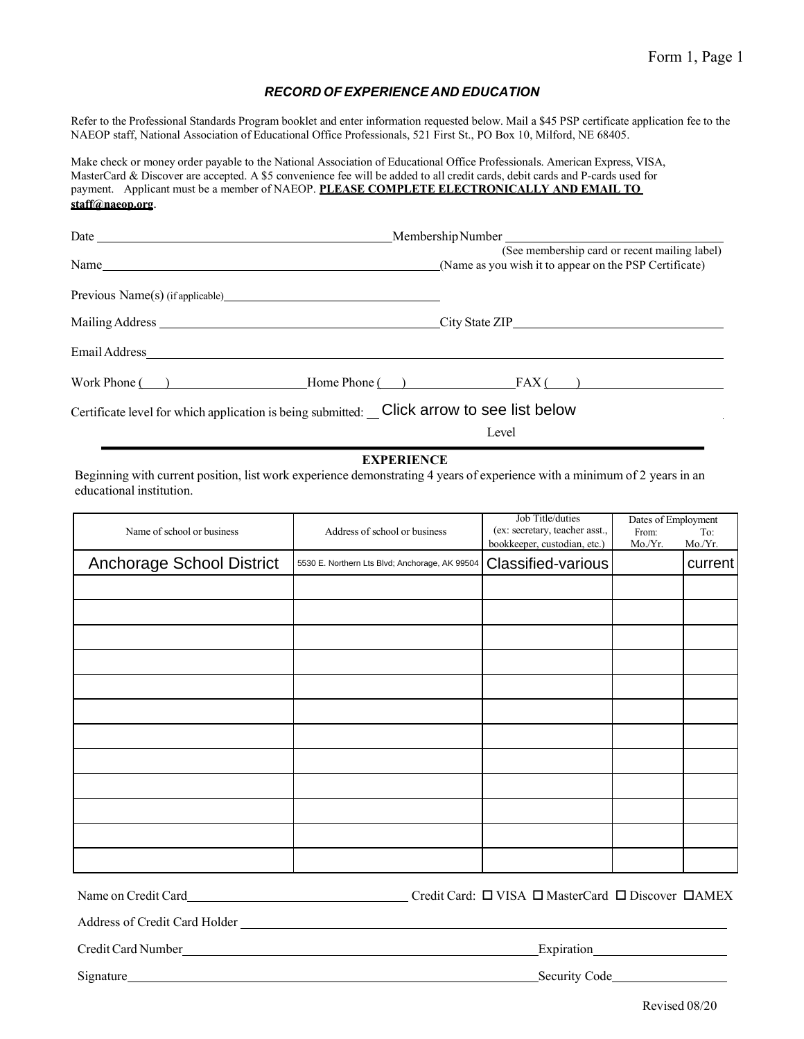#### *RECORD OF EXPERIENCE AND EDUCATION*

Refer to the Professional Standards Program booklet and enter information requested below. Mail a \$45 PSP certificate application fee to the NAEOP staff, National Association of Educational Office Professionals, 521 First St., PO Box 10, Milford, NE 68405.

Make check or money order payable to the National Association of Educational Office Professionals. American Express, VISA, MasterCard & Discover are accepted. A \$5 convenience fee will be added to all credit cards, debit cards and P-cards used for payment. Applicant must be a member of NAEOP. **PLEASE COMPLETE ELECTRONICALLY AND EMAIL TO [staff@naeop.org](mailto:staff@naeop.org)**[.](mailto:staff@naeop.org)

|                                                                                                                                                                                                                               | Membership Number                                                                                                                              |
|-------------------------------------------------------------------------------------------------------------------------------------------------------------------------------------------------------------------------------|------------------------------------------------------------------------------------------------------------------------------------------------|
| Name and the set of the set of the set of the set of the set of the set of the set of the set of the set of the set of the set of the set of the set of the set of the set of the set of the set of the set of the set of the | (See membership card or recent mailing label)<br>(Name as you wish it to appear on the PSP Certificate)                                        |
|                                                                                                                                                                                                                               |                                                                                                                                                |
|                                                                                                                                                                                                                               |                                                                                                                                                |
|                                                                                                                                                                                                                               |                                                                                                                                                |
| Work Phone $\qquad)$                                                                                                                                                                                                          | $Home $ Phone $(\ )$ $FAX()$                                                                                                                   |
| Certificate level for which application is being submitted:  Click arrow to see list below                                                                                                                                    |                                                                                                                                                |
|                                                                                                                                                                                                                               | $\mathbf{r} = \mathbf{1}$ . The set of $\mathbf{r} = \mathbf{1}$ , the set of $\mathbf{r} = \mathbf{1}$ , the set of $\mathbf{r} = \mathbf{1}$ |

| Certificate level for which application is being submitted: _ Click arrow to see list below                                                                                |                                                |                                                                                    |                                        |                |  |  |  |
|----------------------------------------------------------------------------------------------------------------------------------------------------------------------------|------------------------------------------------|------------------------------------------------------------------------------------|----------------------------------------|----------------|--|--|--|
|                                                                                                                                                                            |                                                | Level                                                                              |                                        |                |  |  |  |
| <b>EXPERIENCE</b><br>Beginning with current position, list work experience demonstrating 4 years of experience with a minimum of 2 years in an<br>educational institution. |                                                |                                                                                    |                                        |                |  |  |  |
| Name of school or business                                                                                                                                                 | Address of school or business                  | Job Title/duties<br>(ex: secretary, teacher asst.,<br>bookkeeper, custodian, etc.) | Dates of Employment<br>From:<br>Mo/Yr. | To:<br>Mo./Yr. |  |  |  |
| <b>Anchorage School District</b>                                                                                                                                           | 5530 E. Northern Lts Blvd; Anchorage, AK 99504 | <b>Classified-various</b>                                                          |                                        | current        |  |  |  |
|                                                                                                                                                                            |                                                |                                                                                    |                                        |                |  |  |  |
|                                                                                                                                                                            |                                                |                                                                                    |                                        |                |  |  |  |
|                                                                                                                                                                            |                                                |                                                                                    |                                        |                |  |  |  |
|                                                                                                                                                                            |                                                |                                                                                    |                                        |                |  |  |  |
|                                                                                                                                                                            |                                                |                                                                                    |                                        |                |  |  |  |
|                                                                                                                                                                            |                                                |                                                                                    |                                        |                |  |  |  |
|                                                                                                                                                                            |                                                |                                                                                    |                                        |                |  |  |  |
|                                                                                                                                                                            |                                                |                                                                                    |                                        |                |  |  |  |
|                                                                                                                                                                            |                                                |                                                                                    |                                        |                |  |  |  |
|                                                                                                                                                                            |                                                |                                                                                    |                                        |                |  |  |  |
|                                                                                                                                                                            |                                                |                                                                                    |                                        |                |  |  |  |
|                                                                                                                                                                            |                                                |                                                                                    |                                        |                |  |  |  |

Name on Credit Card Card Credit Card Credit Card: □ VISA □ MasterCard □ Discover □AMEX

Address of Credit Card Holder

Credit Card Number Expiration Expiration

Signature Security Code Security Code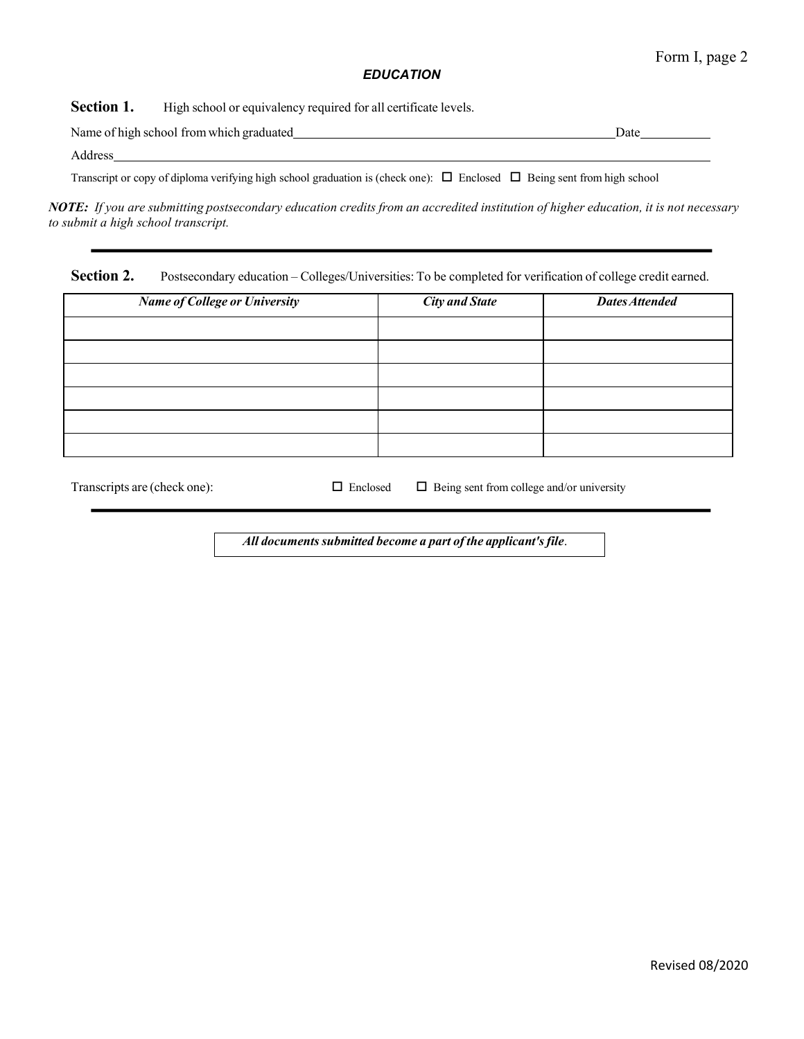### *EDUCATION*

**Section 1.** High school or equivalency required for all certificate levels.

Name of high school fromwhich graduated Date Address

Transcript or copy of diploma verifying high school graduation is (check one):  $\Box$  Enclosed  $\Box$  Being sent from high school

NOTE: If you are submitting postsecondary education credits from an accredited institution of higher education, it is not necessary *to submit a high school transcript.*

**Section 2.** Postsecondary education – Colleges/Universities: To be completed for verification of college credit earned.

| <b>Name of College or University</b> | <b>City and State</b> | <b>Dates Attended</b> |
|--------------------------------------|-----------------------|-----------------------|
|                                      |                       |                       |
|                                      |                       |                       |
|                                      |                       |                       |
|                                      |                       |                       |
|                                      |                       |                       |
|                                      |                       |                       |

Transcripts are (check one):  $\Box$  Enclosed  $\Box$  Being sent from college and/or university

*All documentssubmitted become a part of the applicant'sfile*.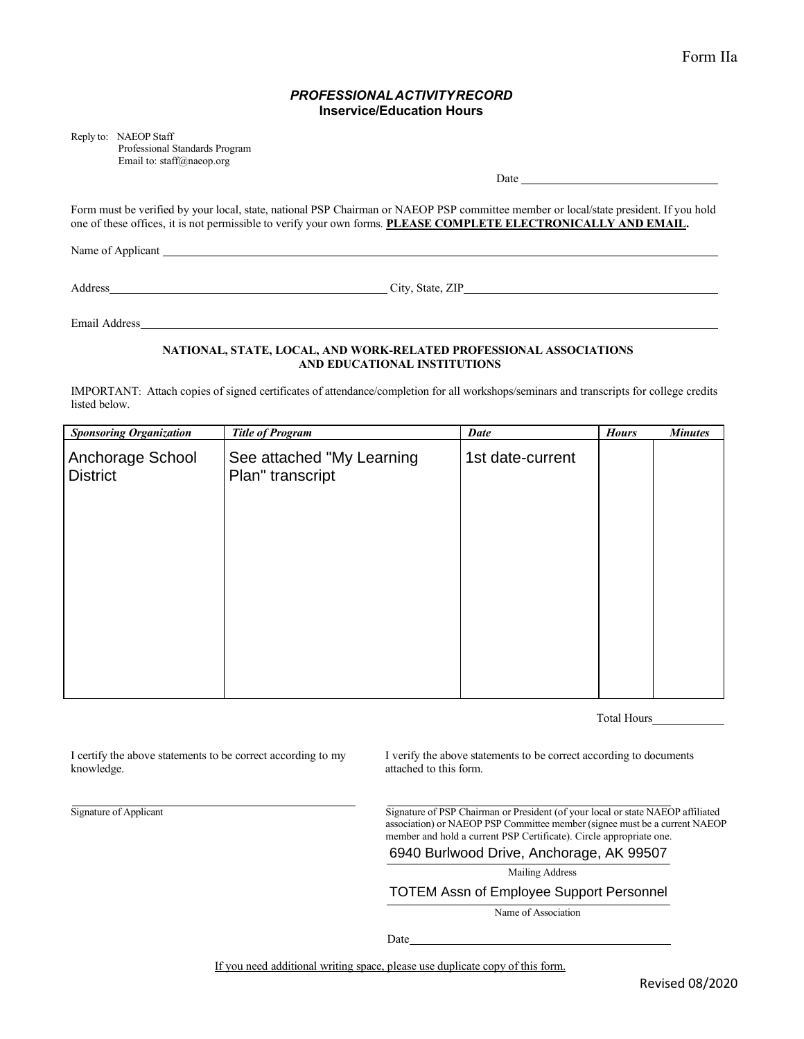#### *PROFESSIONALACTIVITYRECORD* **Inservice/Education Hours**

Reply to: NAEOP Staff

Professional Standards Program Email to[: staff@naeop.org](mailto:staff@naeop.org)

 $Date$ <sub>\_\_\_\_</sub>

Form must be verified by your local, state, national PSP Chairman or NAEOP PSP committee member or local/state president. If you hold one of these offices, it is not permissible to verify your own forms. **PLEASE COMPLETE ELECTRONICALLY AND EMAIL.**

Name of Applicant League and Applicant League and Applicant League and Applicant League and Applicant League and Applicant League and Applicant League and Applicant League and Applicant League and Applicant League and Appl

Address City, State, ZIP

Email Address

#### **NATIONAL, STATE, LOCAL, AND WORK-RELATED PROFESSIONAL ASSOCIATIONS AND EDUCATIONAL INSTITUTIONS**

IMPORTANT: Attach copies of signed certificates of attendance/completion for all workshops/seminars and transcripts for college credits listed below.

| <b>Sponsoring Organization</b>      | <b>Title of Program</b>                       | <b>Date</b>      | <b>Hours</b> | <b>Minutes</b> |
|-------------------------------------|-----------------------------------------------|------------------|--------------|----------------|
| Anchorage School<br><b>District</b> | See attached "My Learning<br>Plan" transcript | 1st date-current |              |                |
|                                     |                                               |                  |              |                |
|                                     |                                               |                  |              |                |
|                                     |                                               |                  |              |                |

Total Hours

I certify the above statements to be correct according to my knowledge.

I verify the above statements to be correct according to documents attached to this form.

Signature of Applicant Signature of PSP Chairman or President (of your local or state NAEOP affiliated association) or NAEOP PSP Committee member (signee must be a current NAEOP member and hold a current PSP Certificate). Circle appropriate one.

|  |  |  | 6940 Burlwood Drive, Anchorage, AK 99507 |  |  |
|--|--|--|------------------------------------------|--|--|
|--|--|--|------------------------------------------|--|--|

Mailing Address

#### TOTEM Assn of Employee Support Personnel

Name of Association

Date

If you need additional writing space, please use duplicate copy of this form.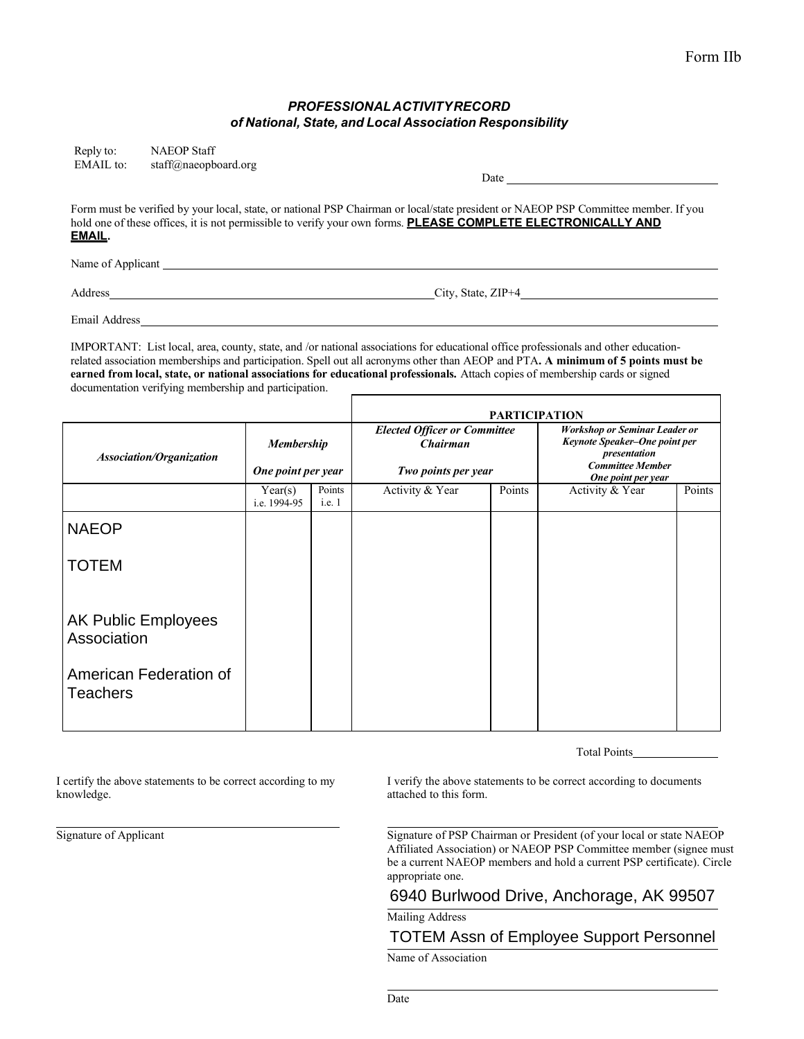#### *PROFESSIONALACTIVITYRECORD of National, State, and Local Association Responsibility*

| Reply to:        | <b>NAEOP</b> Staff   |                                                                                                                                                                                                                                                      |
|------------------|----------------------|------------------------------------------------------------------------------------------------------------------------------------------------------------------------------------------------------------------------------------------------------|
| <b>EMAIL</b> to: | staff@naeopboard.org |                                                                                                                                                                                                                                                      |
|                  |                      | Date                                                                                                                                                                                                                                                 |
| EMAIL.           |                      | Form must be verified by your local, state, or national PSP Chairman or local/state president or NAEOP PSP Committee member. If you<br>hold one of these offices, it is not permissible to verify your own forms. PLEASE COMPLETE ELECTRONICALLY AND |
|                  |                      |                                                                                                                                                                                                                                                      |

Name of Applicant League and Section 2014.

Address City, State, ZIP+4

Email Address

IMPORTANT: List local, area, county, state, and /or national associations for educational office professionals and other educationrelated association memberships and participation. Spell out all acronyms other than AEOP and PTA**. A minimum of 5 points must be earned from local, state, or national associations for educational professionals.** Attach copies of membership cards or signed documentation verifying membership and participation.

|                                           |                                         |                  | <b>PARTICIPATION</b>                                                          |        |                                                                                                                                        |        |
|-------------------------------------------|-----------------------------------------|------------------|-------------------------------------------------------------------------------|--------|----------------------------------------------------------------------------------------------------------------------------------------|--------|
| <b>Association/Organization</b>           | <b>Membership</b><br>One point per year |                  | <b>Elected Officer or Committee</b><br><b>Chairman</b><br>Two points per year |        | <b>Workshop or Seminar Leader or</b><br>Keynote Speaker-One point per<br>presentation<br><b>Committee Member</b><br>One point per year |        |
|                                           | Year(s)<br>i.e. 1994-95                 | Points<br>i.e. 1 | Activity & Year                                                               | Points | Activity & Year                                                                                                                        | Points |
| <b>NAEOP</b>                              |                                         |                  |                                                                               |        |                                                                                                                                        |        |
| <b>TOTEM</b>                              |                                         |                  |                                                                               |        |                                                                                                                                        |        |
| <b>AK Public Employees</b><br>Association |                                         |                  |                                                                               |        |                                                                                                                                        |        |
| American Federation of<br><b>Teachers</b> |                                         |                  |                                                                               |        |                                                                                                                                        |        |

Total Points

knowledge.  $\blacksquare$ 

I certify the above statements to be correct according to my I verify the above statements to be correct according to documents

Signature of Applicant Signature of PSP Chairman or President (of your local or state NAEOP Affiliated Association) or NAEOP PSP Committee member (signee must be a current NAEOP members and hold a current PSP certificate). Circle appropriate one.

## 6940 Burlwood Drive, Anchorage, AK 99507

Mailing Address

# TOTEM Assn of Employee Support Personnel

Name of Association